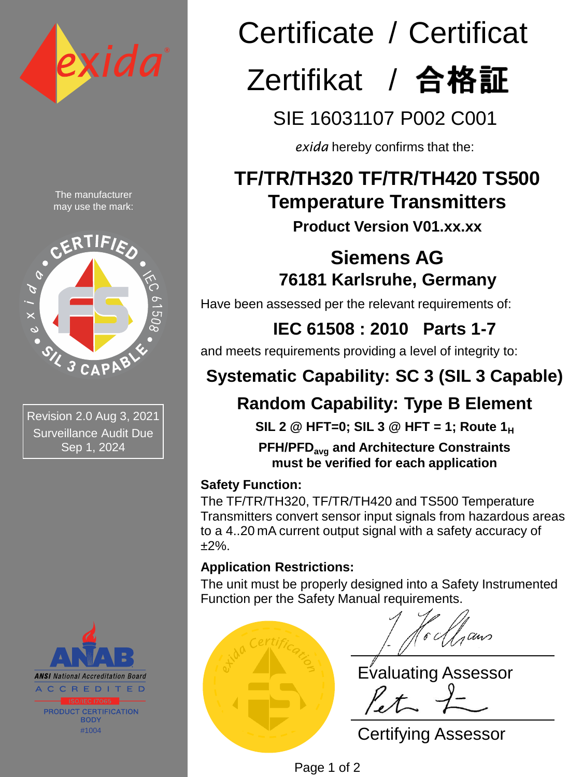

The manufacturer may use the mark:



Revision 2.0 Aug 3, 2021 Surveillance Audit Due Sep 1, 2024



# Certificate / Certificat Zertifikat / 合格証

SIE 16031107 P002 C001

*exida* hereby confirms that the:

## **TF/TR/TH320 TF/TR/TH420 TS500 Temperature Transmitters**

**Product Version V01.xx.xx**

## **Siemens AG 76181 Karlsruhe, Germany**

Have been assessed per the relevant requirements of:

**IEC 61508 : 2010 Parts 1-7** 

and meets requirements providing a level of integrity to:

## **Systematic Capability: SC 3 (SIL 3 Capable)**

## **Random Capability: Type B Element**

**SIL 2 @ HFT=0; SIL 3 @ HFT = 1; Route 1<sup>H</sup>**

**PFH/PFDavg and Architecture Constraints must be verified for each application**

#### **Safety Function:**

The TF/TR/TH320, TF/TR/TH420 and TS500 Temperature Transmitters convert sensor input signals from hazardous areas to a 4..20 mA current output signal with a safety accuracy of ±2%.

#### **Application Restrictions:**

The unit must be properly designed into a Safety Instrumented Function per the Safety Manual requirements.

Place embossed embos seal here for originals, lining it  $\blacksquare$ 

aans

Evaluating Assessor

Certifying Assessor

Page 1 of 2